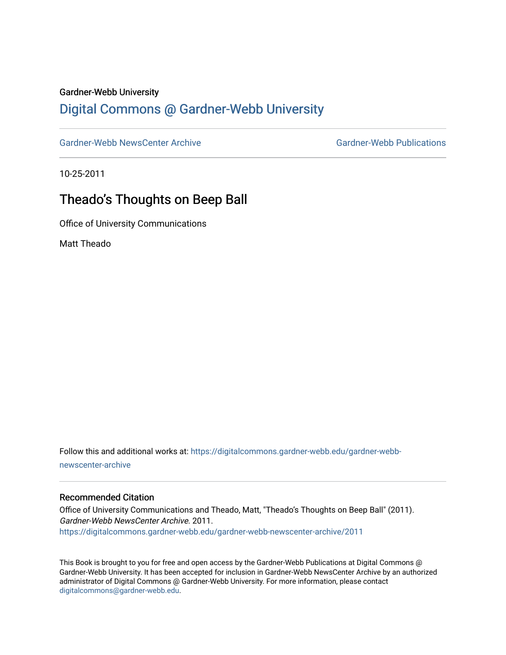#### Gardner-Webb University

## [Digital Commons @ Gardner-Webb University](https://digitalcommons.gardner-webb.edu/)

[Gardner-Webb NewsCenter Archive](https://digitalcommons.gardner-webb.edu/gardner-webb-newscenter-archive) Gardner-Webb Publications

10-25-2011

## Theado's Thoughts on Beep Ball

Office of University Communications

Matt Theado

Follow this and additional works at: [https://digitalcommons.gardner-webb.edu/gardner-webb](https://digitalcommons.gardner-webb.edu/gardner-webb-newscenter-archive?utm_source=digitalcommons.gardner-webb.edu%2Fgardner-webb-newscenter-archive%2F2011&utm_medium=PDF&utm_campaign=PDFCoverPages)[newscenter-archive](https://digitalcommons.gardner-webb.edu/gardner-webb-newscenter-archive?utm_source=digitalcommons.gardner-webb.edu%2Fgardner-webb-newscenter-archive%2F2011&utm_medium=PDF&utm_campaign=PDFCoverPages)

#### Recommended Citation

Office of University Communications and Theado, Matt, "Theado's Thoughts on Beep Ball" (2011). Gardner-Webb NewsCenter Archive. 2011. [https://digitalcommons.gardner-webb.edu/gardner-webb-newscenter-archive/2011](https://digitalcommons.gardner-webb.edu/gardner-webb-newscenter-archive/2011?utm_source=digitalcommons.gardner-webb.edu%2Fgardner-webb-newscenter-archive%2F2011&utm_medium=PDF&utm_campaign=PDFCoverPages) 

This Book is brought to you for free and open access by the Gardner-Webb Publications at Digital Commons @ Gardner-Webb University. It has been accepted for inclusion in Gardner-Webb NewsCenter Archive by an authorized administrator of Digital Commons @ Gardner-Webb University. For more information, please contact [digitalcommons@gardner-webb.edu](mailto:digitalcommons@gardner-webb.edu).